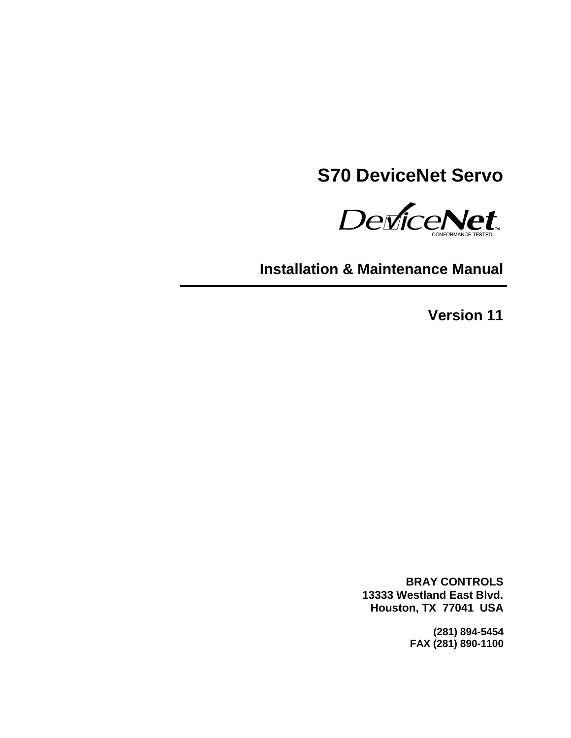# **S70 DeviceNet Servo**

DeviceNet

**Installation & Maintenance Manual**

**Version 11**

**BRAY CONTROLS 13333 Westland East Blvd. Houston, TX 77041 USA**

> **(281) 894-5454 FAX (281) 890-1100**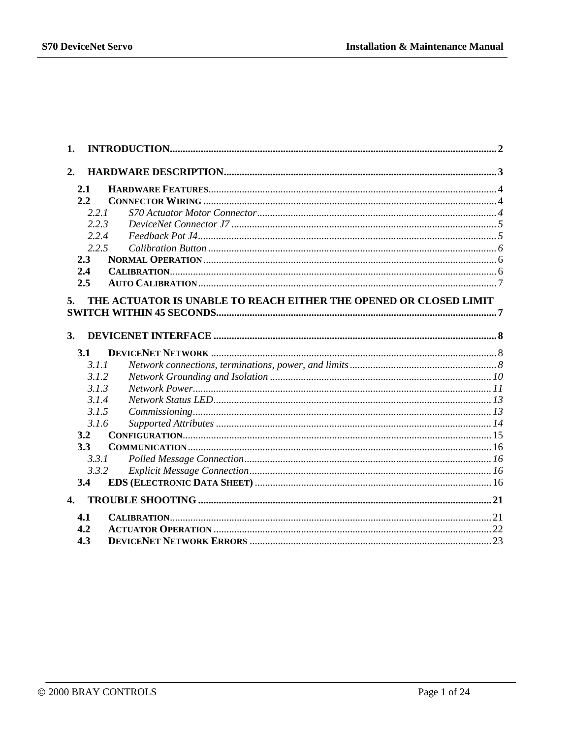| 1.           |                                                                   |  |
|--------------|-------------------------------------------------------------------|--|
| 2.           |                                                                   |  |
| 2.1          |                                                                   |  |
| 2.2          |                                                                   |  |
| 2.2.1        |                                                                   |  |
| 2.2.3        |                                                                   |  |
| 2.2.4        |                                                                   |  |
| 2.2.5        |                                                                   |  |
| 2.3          |                                                                   |  |
| 2.4          |                                                                   |  |
| 2.5          |                                                                   |  |
| 5.           | THE ACTUATOR IS UNABLE TO REACH EITHER THE OPENED OR CLOSED LIMIT |  |
| 3.           |                                                                   |  |
| 3.1          |                                                                   |  |
| 3.1.1        |                                                                   |  |
| 3.1.2        |                                                                   |  |
| 3.1.3        |                                                                   |  |
| 3.1.4        |                                                                   |  |
| 3.1.5        |                                                                   |  |
| 3.1.6        |                                                                   |  |
| 3.2          |                                                                   |  |
| 3.3          |                                                                   |  |
| 3.3.1        |                                                                   |  |
| 3.3.2        |                                                                   |  |
| 3.4          |                                                                   |  |
| $\mathbf{4}$ |                                                                   |  |
| 4.1          |                                                                   |  |
| 4.2          |                                                                   |  |
| 4.3          |                                                                   |  |
|              |                                                                   |  |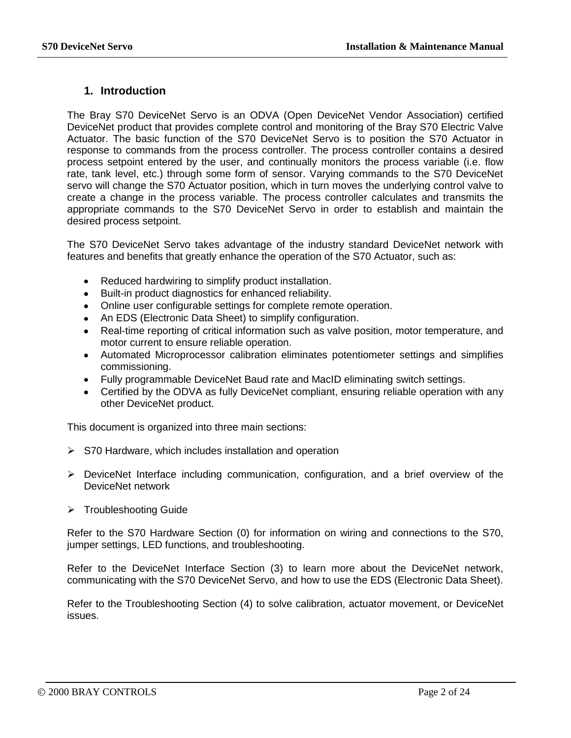### <span id="page-2-0"></span>**1. Introduction**

The Bray S70 DeviceNet Servo is an ODVA (Open DeviceNet Vendor Association) certified DeviceNet product that provides complete control and monitoring of the Bray S70 Electric Valve Actuator. The basic function of the S70 DeviceNet Servo is to position the S70 Actuator in response to commands from the process controller. The process controller contains a desired process setpoint entered by the user, and continually monitors the process variable (i.e. flow rate, tank level, etc.) through some form of sensor. Varying commands to the S70 DeviceNet servo will change the S70 Actuator position, which in turn moves the underlying control valve to create a change in the process variable. The process controller calculates and transmits the appropriate commands to the S70 DeviceNet Servo in order to establish and maintain the desired process setpoint.

The S70 DeviceNet Servo takes advantage of the industry standard DeviceNet network with features and benefits that greatly enhance the operation of the S70 Actuator, such as:

- Reduced hardwiring to simplify product installation.
- Built-in product diagnostics for enhanced reliability.
- Online user configurable settings for complete remote operation.
- An EDS (Electronic Data Sheet) to simplify configuration.
- Real-time reporting of critical information such as valve position, motor temperature, and motor current to ensure reliable operation.
- Automated Microprocessor calibration eliminates potentiometer settings and simplifies commissioning.
- Fully programmable DeviceNet Baud rate and MacID eliminating switch settings.
- Certified by the ODVA as fully DeviceNet compliant, ensuring reliable operation with any other DeviceNet product.

This document is organized into three main sections:

- $\triangleright$  S70 Hardware, which includes installation and operation
- $\triangleright$  DeviceNet Interface including communication, configuration, and a brief overview of the DeviceNet network
- > Troubleshooting Guide

Refer to the S70 Hardware Section (0) for information on wiring and connections to the S70, jumper settings, LED functions, and troubleshooting.

Refer to the DeviceNet Interface Section [\(3\)](#page-8-0) to learn more about the DeviceNet network, communicating with the S70 DeviceNet Servo, and how to use the EDS (Electronic Data Sheet).

Refer to the Troubleshooting Section [\(4\)](#page-21-0) to solve calibration, actuator movement, or DeviceNet issues.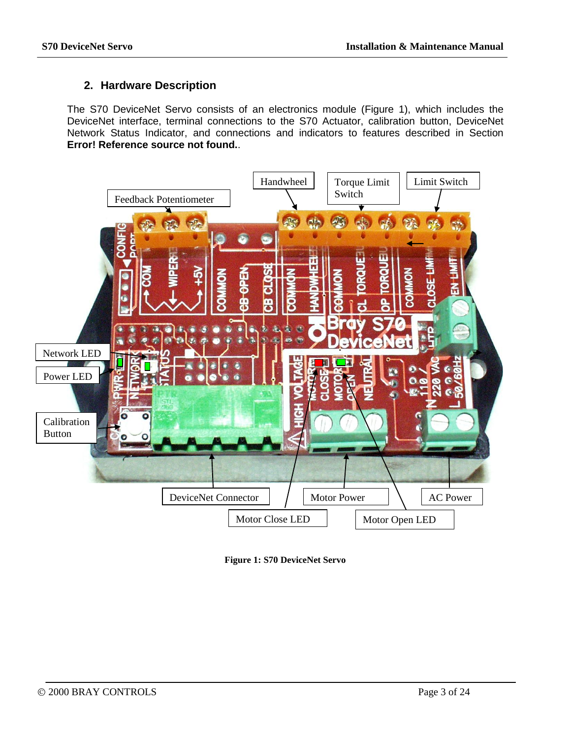# <span id="page-3-0"></span>**2. Hardware Description**

The S70 DeviceNet Servo consists of an electronics module (Figure 1), which includes the DeviceNet interface, terminal connections to the S70 Actuator, calibration button, DeviceNet Network Status Indicator, and connections and indicators to features described in Section **Error! Reference source not found.**.



<span id="page-3-1"></span>**Figure 1: S70 DeviceNet Servo**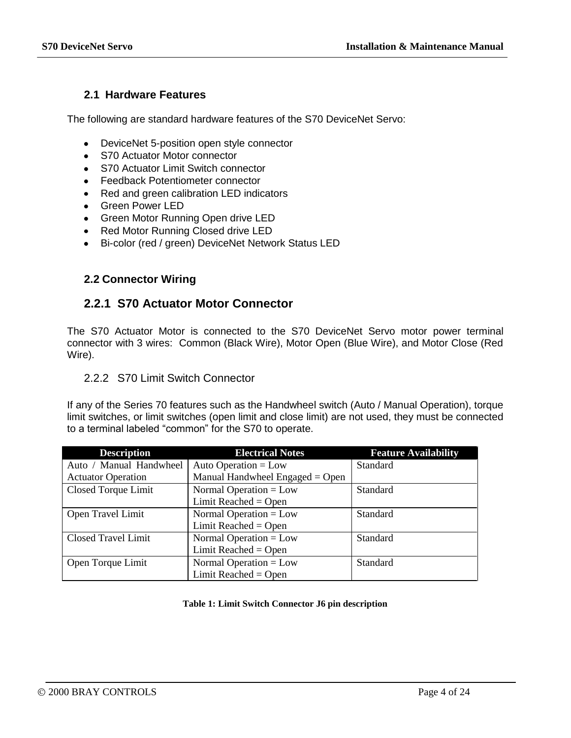# <span id="page-4-0"></span>**2.1 Hardware Features**

The following are standard hardware features of the S70 DeviceNet Servo:

- DeviceNet 5-position open style connector
- S70 Actuator Motor connector
- S70 Actuator Limit Switch connector
- Feedback Potentiometer connector
- Red and green calibration LED indicators
- Green Power LED
- Green Motor Running Open drive LED
- Red Motor Running Closed drive LED
- Bi-color (red / green) DeviceNet Network Status LED

### <span id="page-4-2"></span><span id="page-4-1"></span>**2.2 Connector Wiring**

# **2.2.1 S70 Actuator Motor Connector**

The S70 Actuator Motor is connected to the S70 DeviceNet Servo motor power terminal connector with 3 wires: Common (Black Wire), Motor Open (Blue Wire), and Motor Close (Red Wire).

### 2.2.2 S70 Limit Switch Connector

If any of the Series 70 features such as the Handwheel switch (Auto / Manual Operation), torque limit switches, or limit switches (open limit and close limit) are not used, they must be connected to a terminal labeled "common" for the S70 to operate.

| <b>Description</b>        | <b>Electrical Notes</b>         | <b>Feature Availability</b> |
|---------------------------|---------------------------------|-----------------------------|
| Auto / Manual Handwheel   | Auto Operation = $Low$          | Standard                    |
| <b>Actuator Operation</b> | Manual Handwheel Engaged = Open |                             |
| Closed Torque Limit       | Normal Operation = $Low$        | <b>Standard</b>             |
|                           | Limit Reached = Open            |                             |
| Open Travel Limit         | Normal Operation = $Low$        | Standard                    |
|                           | Limit Reached = Open            |                             |
| Closed Travel Limit       | Normal Operation = $Low$        | Standard                    |
|                           | Limit Reached = Open            |                             |
| Open Torque Limit         | Normal Operation = $Low$        | Standard                    |
|                           | Limit Reached = $Open$          |                             |

#### **Table 1: Limit Switch Connector J6 pin description**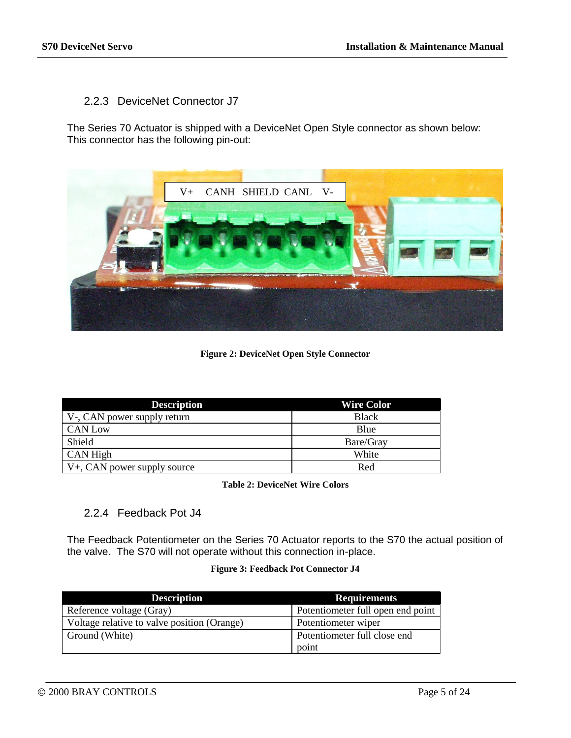# <span id="page-5-0"></span>2.2.3 DeviceNet Connector J7

The Series 70 Actuator is shipped with a DeviceNet Open Style connector as shown below: This connector has the following pin-out:



**Figure 2: DeviceNet Open Style Connector**

| <b>Description</b>                   | <b>Wire Color</b> |
|--------------------------------------|-------------------|
| V-, CAN power supply return          | <b>Black</b>      |
| CAN Low                              | Blue              |
| Shield                               | Bare/Gray         |
| CAN High                             | White             |
| $\forall$ +, CAN power supply source | Red               |

**Table 2: DeviceNet Wire Colors**

# <span id="page-5-1"></span>2.2.4 Feedback Pot J4

The Feedback Potentiometer on the Series 70 Actuator reports to the S70 the actual position of the valve. The S70 will not operate without this connection in-place.

#### **Figure 3: Feedback Pot Connector J4**

| <b>Description</b>                          | <b>Requirements</b>               |
|---------------------------------------------|-----------------------------------|
| Reference voltage (Gray)                    | Potentiometer full open end point |
| Voltage relative to valve position (Orange) | Potentiometer wiper               |
| Ground (White)                              | Potentiometer full close end      |
|                                             | point                             |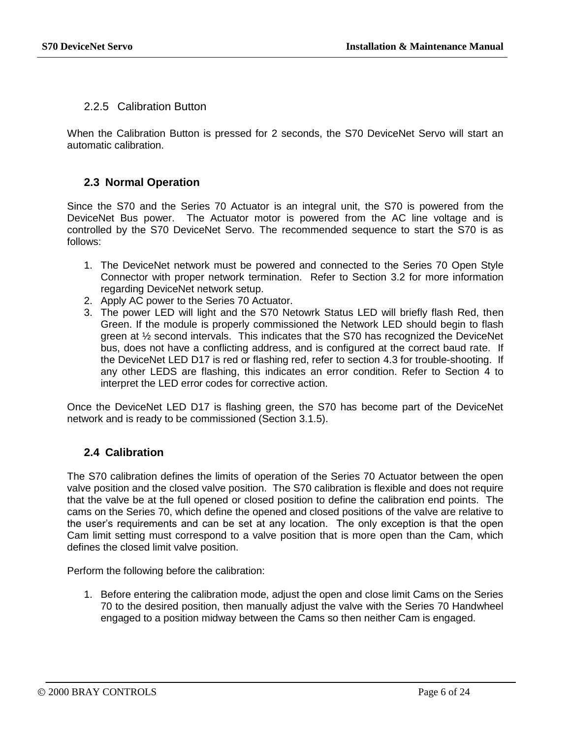### <span id="page-6-0"></span>2.2.5 Calibration Button

When the Calibration Button is pressed for 2 seconds, the S70 DeviceNet Servo will start an automatic calibration.

### <span id="page-6-1"></span>**2.3 Normal Operation**

Since the S70 and the Series 70 Actuator is an integral unit, the S70 is powered from the DeviceNet Bus power. The Actuator motor is powered from the AC line voltage and is controlled by the S70 DeviceNet Servo. The recommended sequence to start the S70 is as follows:

- 1. The DeviceNet network must be powered and connected to the Series 70 Open Style Connector with proper network termination. Refer to Section 3.2 for more information regarding DeviceNet network setup.
- 2. Apply AC power to the Series 70 Actuator.
- 3. The power LED will light and the S70 Netowrk Status LED will briefly flash Red, then Green. If the module is properly commissioned the Network LED should begin to flash green at  $\frac{1}{2}$  second intervals. This indicates that the S70 has recognized the DeviceNet bus, does not have a conflicting address, and is configured at the correct baud rate. If the DeviceNet LED D17 is red or flashing red, refer to section [4.3](#page-23-0) for trouble-shooting. If any other LEDS are flashing, this indicates an error condition. Refer to Section [4](#page-21-0) to interpret the LED error codes for corrective action.

Once the DeviceNet LED D17 is flashing green, the S70 has become part of the DeviceNet network and is ready to be commissioned (Section 3.1.5).

# <span id="page-6-2"></span>**2.4 Calibration**

The S70 calibration defines the limits of operation of the Series 70 Actuator between the open valve position and the closed valve position. The S70 calibration is flexible and does not require that the valve be at the full opened or closed position to define the calibration end points. The cams on the Series 70, which define the opened and closed positions of the valve are relative to the user's requirements and can be set at any location. The only exception is that the open Cam limit setting must correspond to a valve position that is more open than the Cam, which defines the closed limit valve position.

Perform the following before the calibration:

1. Before entering the calibration mode, adjust the open and close limit Cams on the Series 70 to the desired position, then manually adjust the valve with the Series 70 Handwheel engaged to a position midway between the Cams so then neither Cam is engaged.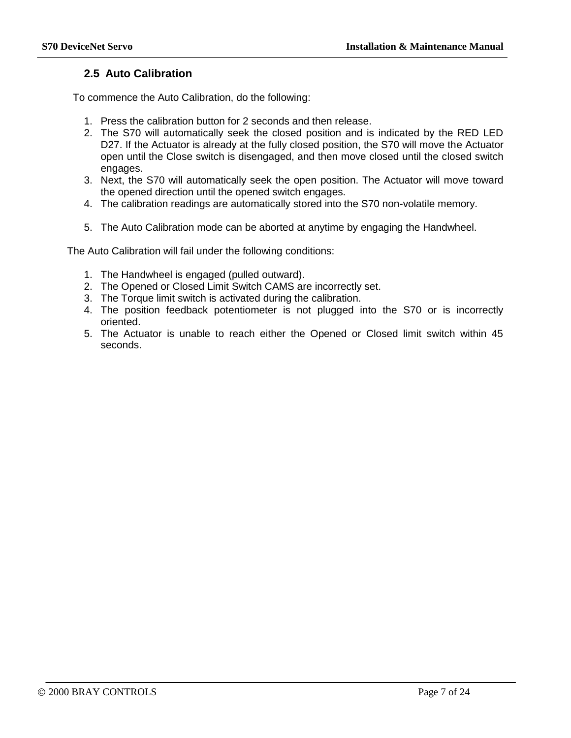# <span id="page-7-0"></span>**2.5 Auto Calibration**

To commence the Auto Calibration, do the following:

- 1. Press the calibration button for 2 seconds and then release.
- 2. The S70 will automatically seek the closed position and is indicated by the RED LED D27. If the Actuator is already at the fully closed position, the S70 will move the Actuator open until the Close switch is disengaged, and then move closed until the closed switch engages.
- 3. Next, the S70 will automatically seek the open position. The Actuator will move toward the opened direction until the opened switch engages.
- 4. The calibration readings are automatically stored into the S70 non-volatile memory.
- 5. The Auto Calibration mode can be aborted at anytime by engaging the Handwheel.

The Auto Calibration will fail under the following conditions:

- 1. The Handwheel is engaged (pulled outward).
- 2. The Opened or Closed Limit Switch CAMS are incorrectly set.
- 3. The Torque limit switch is activated during the calibration.
- 4. The position feedback potentiometer is not plugged into the S70 or is incorrectly oriented.
- <span id="page-7-1"></span>5. The Actuator is unable to reach either the Opened or Closed limit switch within 45 seconds.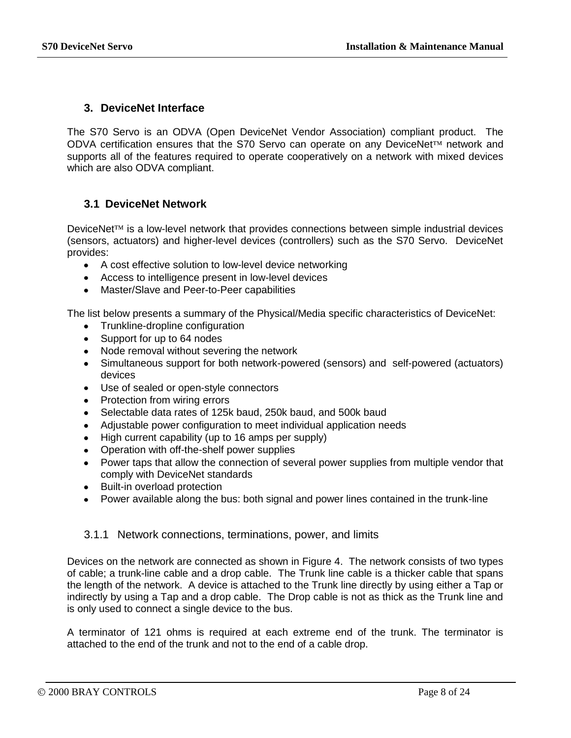# <span id="page-8-0"></span>**3. DeviceNet Interface**

The S70 Servo is an ODVA (Open DeviceNet Vendor Association) compliant product. The ODVA certification ensures that the S70 Servo can operate on any DeviceNet<sup>™</sup> network and supports all of the features required to operate cooperatively on a network with mixed devices which are also ODVA compliant.

# <span id="page-8-1"></span>**3.1 DeviceNet Network**

 $DeviceNet<sup>TM</sup>$  is a low-level network that provides connections between simple industrial devices (sensors, actuators) and higher-level devices (controllers) such as the S70 Servo. DeviceNet provides:

- A cost effective solution to low-level device networking
- Access to intelligence present in low-level devices
- Master/Slave and Peer-to-Peer capabilities

The list below presents a summary of the Physical/Media specific characteristics of DeviceNet:

- Trunkline-dropline configuration
- Support for up to 64 nodes
- Node removal without severing the network
- Simultaneous support for both network-powered (sensors) and self-powered (actuators) devices
- Use of sealed or open-style connectors
- Protection from wiring errors
- Selectable data rates of 125k baud, 250k baud, and 500k baud
- Adjustable power configuration to meet individual application needs
- High current capability (up to 16 amps per supply)
- Operation with off-the-shelf power supplies
- Power taps that allow the connection of several power supplies from multiple vendor that comply with DeviceNet standards
- Built-in overload protection
- Power available along the bus: both signal and power lines contained in the trunk-line

# <span id="page-8-2"></span>3.1.1 Network connections, terminations, power, and limits

Devices on the network are connected as shown in [Figure 4.](#page-9-0) The network consists of two types of cable; a trunk-line cable and a drop cable. The Trunk line cable is a thicker cable that spans the length of the network. A device is attached to the Trunk line directly by using either a Tap or indirectly by using a Tap and a drop cable. The Drop cable is not as thick as the Trunk line and is only used to connect a single device to the bus.

A terminator of 121 ohms is required at each extreme end of the trunk. The terminator is attached to the end of the trunk and not to the end of a cable drop.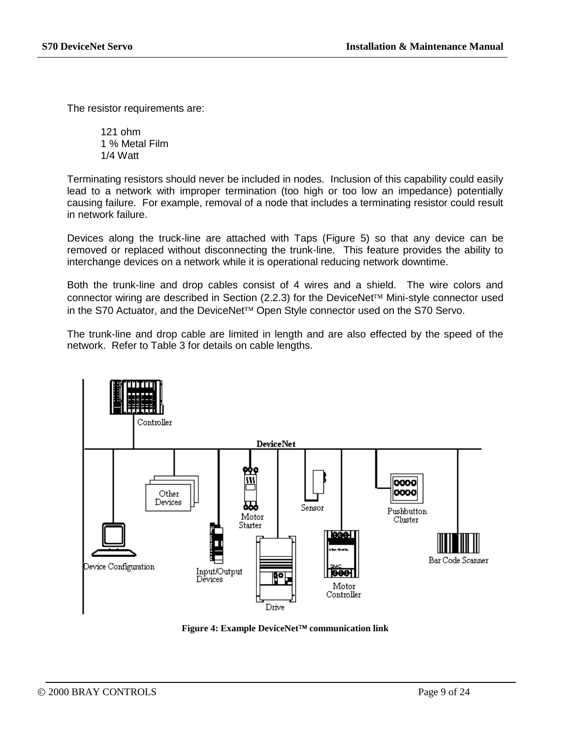The resistor requirements are:

121 ohm 1 % Metal Film 1/4 Watt

Terminating resistors should never be included in nodes. Inclusion of this capability could easily lead to a network with improper termination (too high or too low an impedance) potentially causing failure. For example, removal of a node that includes a terminating resistor could result in network failure.

Devices along the truck-line are attached with Taps [\(Figure 5\)](#page-10-1) so that any device can be removed or replaced without disconnecting the trunk-line. This feature provides the ability to interchange devices on a network while it is operational reducing network downtime.

Both the trunk-line and drop cables consist of 4 wires and a shield. The wire colors and connector wiring are described in Section [\(2.2.3\)](#page-5-0) for the DeviceNet<sup>TM</sup> Mini-style connector used in the S70 Actuator, and the DeviceNet $TM$  Open Style connector used on the S70 Servo.

The trunk-line and drop cable are limited in length and are also effected by the speed of the network. Refer to [Table 3](#page-10-2) for details on cable lengths.



<span id="page-9-0"></span>**Figure 4: Example DeviceNet™ communication link**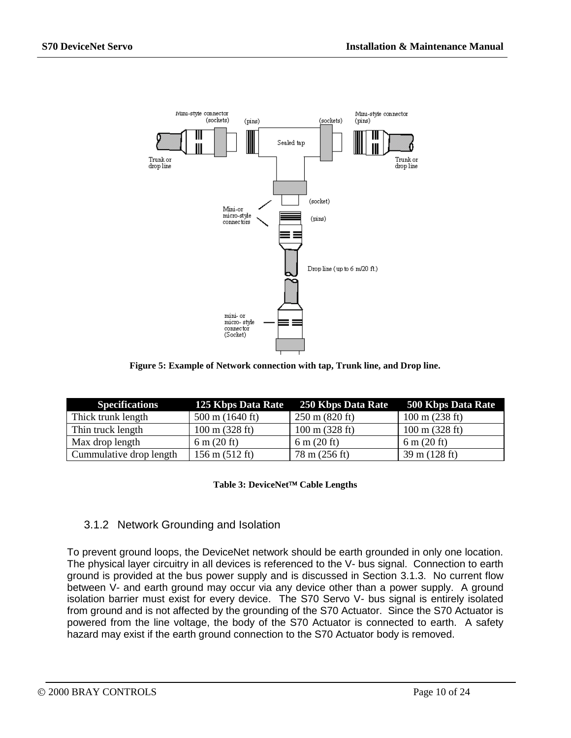

**Figure 5: Example of Network connection with tap, Trunk line, and Drop line.**

<span id="page-10-1"></span>

| <b>Specifications</b>   |                                  | 125 Kbps Data Rate 250 Kbps Data Rate 500 Kbps Data Rate |                               |
|-------------------------|----------------------------------|----------------------------------------------------------|-------------------------------|
| Thick trunk length      | $500 \text{ m}$ (1640 ft)        | $250 \text{ m} (820 \text{ ft})$                         | $100 \text{ m}$ (238 ft)      |
| Thin truck length       | $100 \text{ m}$ (328 ft)         | $100 \text{ m}$ (328 ft)                                 | $100 \text{ m}$ (328 ft)      |
| Max drop length         | $6 \text{ m} (20 \text{ ft})$    | $6 \text{ m} (20 \text{ ft})$                            | $6 \text{ m} (20 \text{ ft})$ |
| Cummulative drop length | $156 \text{ m} (512 \text{ ft})$ | 78 m (256 ft)                                            | $39 \text{ m}$ (128 ft)       |

Table 3: DeviceNet<sup>™</sup> Cable Lengths

# <span id="page-10-2"></span><span id="page-10-0"></span>3.1.2 Network Grounding and Isolation

To prevent ground loops, the DeviceNet network should be earth grounded in only one location. The physical layer circuitry in all devices is referenced to the V- bus signal. Connection to earth ground is provided at the bus power supply and is discussed in Section [3.1.3.](#page-11-0) No current flow between V- and earth ground may occur via any device other than a power supply. A ground isolation barrier must exist for every device. The S70 Servo V- bus signal is entirely isolated from ground and is not affected by the grounding of the S70 Actuator. Since the S70 Actuator is powered from the line voltage, the body of the S70 Actuator is connected to earth. A safety hazard may exist if the earth ground connection to the S70 Actuator body is removed.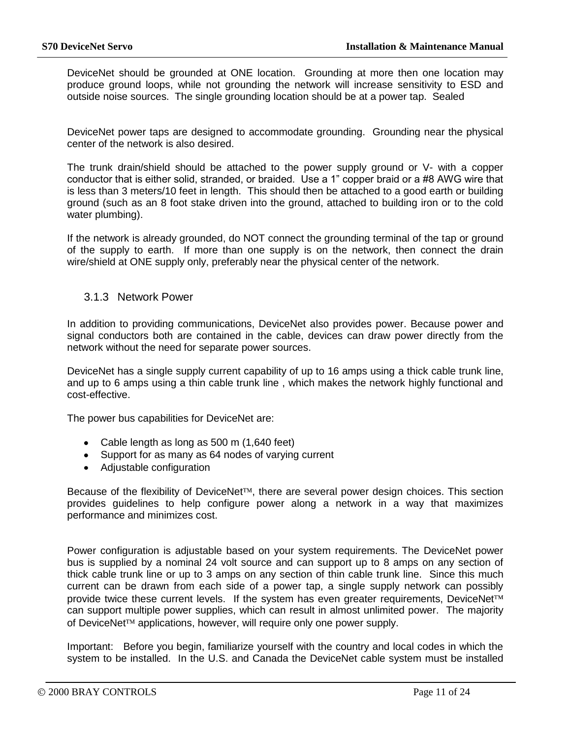DeviceNet should be grounded at ONE location. Grounding at more then one location may produce ground loops, while not grounding the network will increase sensitivity to ESD and outside noise sources. The single grounding location should be at a power tap. Sealed

DeviceNet power taps are designed to accommodate grounding. Grounding near the physical center of the network is also desired.

The trunk drain/shield should be attached to the power supply ground or V- with a copper conductor that is either solid, stranded, or braided. Use a 1" copper braid or a #8 AWG wire that is less than 3 meters/10 feet in length. This should then be attached to a good earth or building ground (such as an 8 foot stake driven into the ground, attached to building iron or to the cold water plumbing).

If the network is already grounded, do NOT connect the grounding terminal of the tap or ground of the supply to earth. If more than one supply is on the network, then connect the drain wire/shield at ONE supply only, preferably near the physical center of the network.

### <span id="page-11-0"></span>3.1.3 Network Power

In addition to providing communications, DeviceNet also provides power. Because power and signal conductors both are contained in the cable, devices can draw power directly from the network without the need for separate power sources.

DeviceNet has a single supply current capability of up to 16 amps using a thick cable trunk line, and up to 6 amps using a thin cable trunk line , which makes the network highly functional and cost-effective.

The power bus capabilities for DeviceNet are:

- Cable length as long as 500 m (1,640 feet)
- Support for as many as 64 nodes of varying current
- Adiustable configuration

Because of the flexibility of DeviceNet<sup>TM</sup>, there are several power design choices. This section provides guidelines to help configure power along a network in a way that maximizes performance and minimizes cost.

Power configuration is adjustable based on your system requirements. The DeviceNet power bus is supplied by a nominal 24 volt source and can support up to 8 amps on any section of thick cable trunk line or up to 3 amps on any section of thin cable trunk line. Since this much current can be drawn from each side of a power tap, a single supply network can possibly provide twice these current levels. If the system has even greater requirements, DeviceNet<sup>TM</sup> can support multiple power supplies, which can result in almost unlimited power. The majority of DeviceNet<sup>TM</sup> applications, however, will require only one power supply.

Important: Before you begin, familiarize yourself with the country and local codes in which the system to be installed. In the U.S. and Canada the DeviceNet cable system must be installed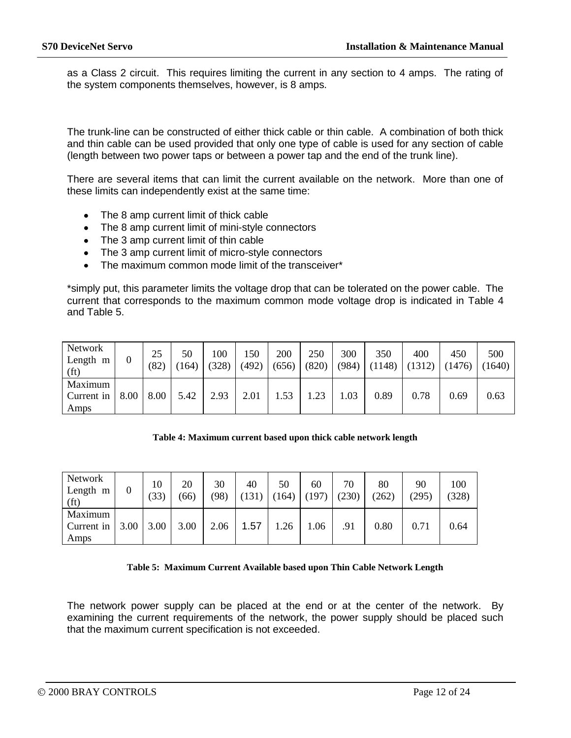as a Class 2 circuit. This requires limiting the current in any section to 4 amps. The rating of the system components themselves, however, is 8 amps.

The trunk-line can be constructed of either thick cable or thin cable. A combination of both thick and thin cable can be used provided that only one type of cable is used for any section of cable (length between two power taps or between a power tap and the end of the trunk line).

There are several items that can limit the current available on the network. More than one of these limits can independently exist at the same time:

- The 8 amp current limit of thick cable
- The 8 amp current limit of mini-style connectors
- The 3 amp current limit of thin cable
- The 3 amp current limit of micro-style connectors
- The maximum common mode limit of the transceiver\*

\*simply put, this parameter limits the voltage drop that can be tolerated on the power cable. The current that corresponds to the maximum common mode voltage drop is indicated in [Table 4](#page-12-0) and [Table 5.](#page-12-1)

| Network<br>Length m<br>(f <sub>t</sub> ) | 0    | 25<br>(82) | 50<br>164) | 100<br>(328) | .50<br>(492) | 200<br>(656) | 250<br>(820) | 300<br>(984) | 350<br>(1148) | 400<br>1312) | 450<br>(1476) | 500<br>1640) |
|------------------------------------------|------|------------|------------|--------------|--------------|--------------|--------------|--------------|---------------|--------------|---------------|--------------|
| Maximum<br>Current in<br>Amps            | 8.00 | 8.00       | 5.42       | 2.93         | 2.01         | .53          | 1.23         | .03          | 0.89          | 0.78         | 0.69          | 0.63         |

#### **Table 4: Maximum current based upon thick cable network length**

<span id="page-12-0"></span>

| Network<br>Length m<br>(f <sub>t</sub> ) | 0    | 10<br>(33) | 20<br>(66) | 30<br>(98) | 40<br>131 | 50<br>164) | 60<br>(197) | 70<br>(230) | 80<br>(262) | 90<br>(295) | 100<br>(328) |
|------------------------------------------|------|------------|------------|------------|-----------|------------|-------------|-------------|-------------|-------------|--------------|
| Maximum<br>Current in<br>Amps            | 3.00 | 3.00       | 3.00       | 2.06       | 1.57      | .26        | 0.06        | .91         | 0.80        | 0.71        | 0.64         |

#### **Table 5: Maximum Current Available based upon Thin Cable Network Length**

<span id="page-12-1"></span>The network power supply can be placed at the end or at the center of the network. By examining the current requirements of the network, the power supply should be placed such that the maximum current specification is not exceeded.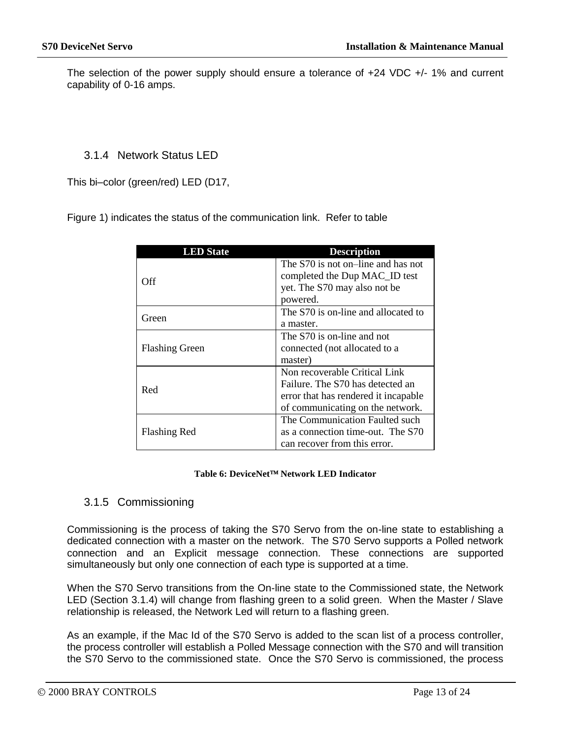The selection of the power supply should ensure a tolerance of +24 VDC +/- 1% and current capability of 0-16 amps.

### <span id="page-13-0"></span>3.1.4 Network Status LED

This bi–color (green/red) LED (D17,

[Figure 1\)](#page-3-1) indicates the status of the communication link. Refer to table

| <b>LED</b> State      | <b>Description</b>                                                                                                                            |
|-----------------------|-----------------------------------------------------------------------------------------------------------------------------------------------|
| Off                   | The S70 is not on-line and has not<br>completed the Dup MAC_ID test<br>yet. The S70 may also not be<br>powered.                               |
| Green                 | The S70 is on-line and allocated to<br>a master.                                                                                              |
| <b>Flashing Green</b> | The S70 is on-line and not<br>connected (not allocated to a<br>master)                                                                        |
| Red                   | Non recoverable Critical Link<br>Failure. The S70 has detected an<br>error that has rendered it incapable<br>of communicating on the network. |
| <b>Flashing Red</b>   | The Communication Faulted such<br>as a connection time-out. The S70<br>can recover from this error.                                           |

#### Table 6: DeviceNet<sup>™</sup> Network LED Indicator

### <span id="page-13-1"></span>3.1.5 Commissioning

Commissioning is the process of taking the S70 Servo from the on-line state to establishing a dedicated connection with a master on the network. The S70 Servo supports a Polled network connection and an Explicit message connection. These connections are supported simultaneously but only one connection of each type is supported at a time.

When the S70 Servo transitions from the On-line state to the Commissioned state, the Network LED (Section [3.1.4\)](#page-13-0) will change from flashing green to a solid green. When the Master / Slave relationship is released, the Network Led will return to a flashing green.

As an example, if the Mac Id of the S70 Servo is added to the scan list of a process controller, the process controller will establish a Polled Message connection with the S70 and will transition the S70 Servo to the commissioned state. Once the S70 Servo is commissioned, the process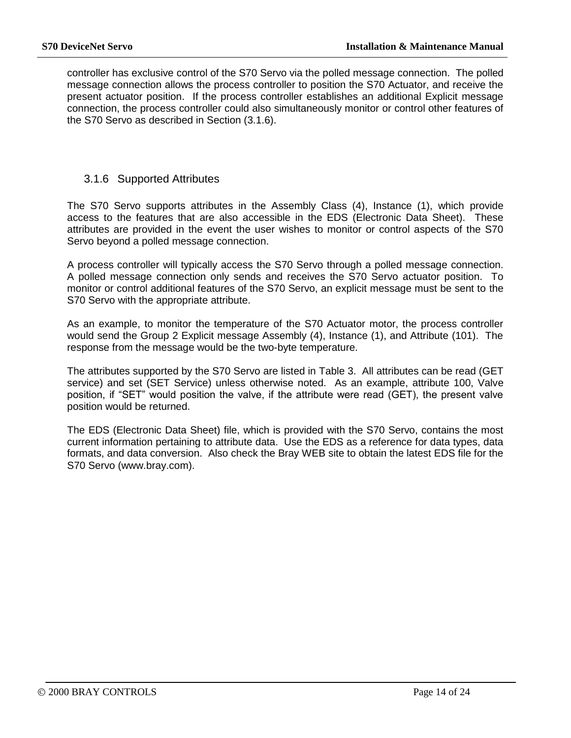controller has exclusive control of the S70 Servo via the polled message connection. The polled message connection allows the process controller to position the S70 Actuator, and receive the present actuator position. If the process controller establishes an additional Explicit message connection, the process controller could also simultaneously monitor or control other features of the S70 Servo as described in Section [\(3.1.6\)](#page-14-0).

### <span id="page-14-0"></span>3.1.6 Supported Attributes

The S70 Servo supports attributes in the Assembly Class (4), Instance (1), which provide access to the features that are also accessible in the EDS (Electronic Data Sheet). These attributes are provided in the event the user wishes to monitor or control aspects of the S70 Servo beyond a polled message connection.

A process controller will typically access the S70 Servo through a polled message connection. A polled message connection only sends and receives the S70 Servo actuator position. To monitor or control additional features of the S70 Servo, an explicit message must be sent to the S70 Servo with the appropriate attribute.

As an example, to monitor the temperature of the S70 Actuator motor, the process controller would send the Group 2 Explicit message Assembly (4), Instance (1), and Attribute (101). The response from the message would be the two-byte temperature.

The attributes supported by the S70 Servo are listed in [Table 3.](#page-10-2) All attributes can be read (GET service) and set (SET Service) unless otherwise noted. As an example, attribute 100, Valve position, if "SET" would position the valve, if the attribute were read (GET), the present valve position would be returned.

The EDS (Electronic Data Sheet) file, which is provided with the S70 Servo, contains the most current information pertaining to attribute data. Use the EDS as a reference for data types, data formats, and data conversion. Also check the Bray WEB site to obtain the latest EDS file for the S70 Servo (www.bray.com).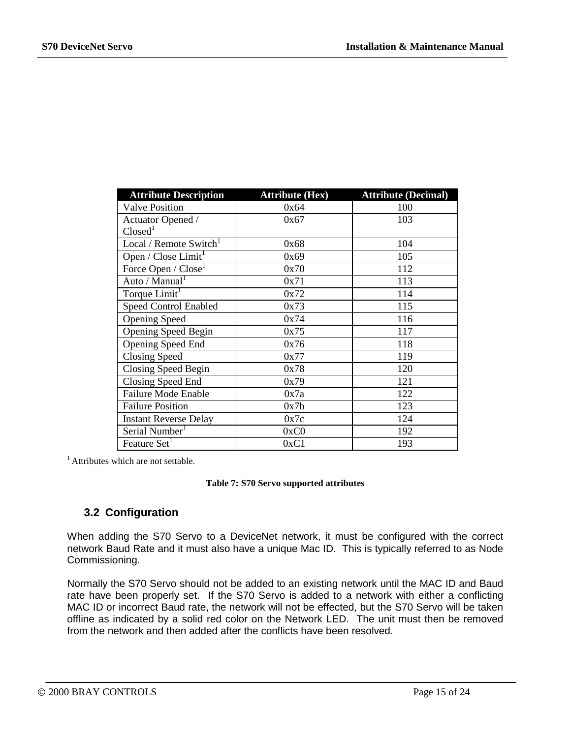| <b>Attribute Description</b>       | <b>Attribute (Hex)</b> | <b>Attribute (Decimal)</b> |
|------------------------------------|------------------------|----------------------------|
| <b>Valve Position</b>              | 0x64                   | 100                        |
| Actuator Opened /                  | 0x67                   | 103                        |
| Closed <sup>1</sup>                |                        |                            |
| Local / Remote Switch <sup>1</sup> | 0x68                   | 104                        |
| Open / Close Limit <sup>1</sup>    | 0x69                   | 105                        |
| Force Open / Close <sup>1</sup>    | 0x70                   | 112                        |
| Auto / Manual <sup>1</sup>         | 0x71                   | 113                        |
| Torque Limit <sup>1</sup>          | 0x72                   | 114                        |
| <b>Speed Control Enabled</b>       | 0x73                   | 115                        |
| <b>Opening Speed</b>               | 0x74                   | 116                        |
| <b>Opening Speed Begin</b>         | 0x75                   | 117                        |
| <b>Opening Speed End</b>           | 0x76                   | 118                        |
| <b>Closing Speed</b>               | 0x77                   | 119                        |
| Closing Speed Begin                | 0x78                   | 120                        |
| Closing Speed End                  | 0x79                   | 121                        |
| <b>Failure Mode Enable</b>         | 0x7a                   | 122                        |
| <b>Failure Position</b>            | 0x7b                   | 123                        |
| <b>Instant Reverse Delay</b>       | 0x7c                   | 124                        |
| Serial Number <sup>1</sup>         | 0xC0                   | 192                        |
| Feature Set <sup>1</sup>           | 0xC1                   | 193                        |

<sup>1</sup> Attributes which are not settable.

#### **Table 7: S70 Servo supported attributes**

# <span id="page-15-0"></span>**3.2 Configuration**

When adding the S70 Servo to a DeviceNet network, it must be configured with the correct network Baud Rate and it must also have a unique Mac ID. This is typically referred to as Node Commissioning.

Normally the S70 Servo should not be added to an existing network until the MAC ID and Baud rate have been properly set. If the S70 Servo is added to a network with either a conflicting MAC ID or incorrect Baud rate, the network will not be effected, but the S70 Servo will be taken offline as indicated by a solid red color on the Network LED. The unit must then be removed from the network and then added after the conflicts have been resolved.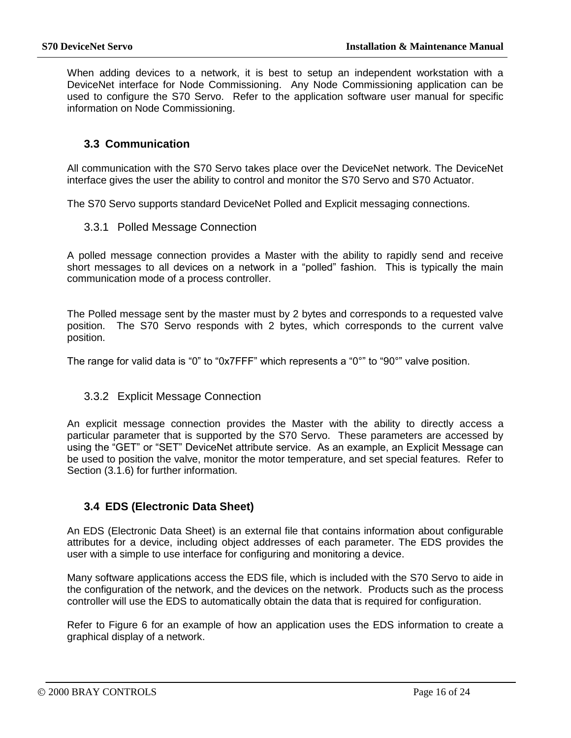When adding devices to a network, it is best to setup an independent workstation with a DeviceNet interface for Node Commissioning. Any Node Commissioning application can be used to configure the S70 Servo. Refer to the application software user manual for specific information on Node Commissioning.

### <span id="page-16-0"></span>**3.3 Communication**

All communication with the S70 Servo takes place over the DeviceNet network. The DeviceNet interface gives the user the ability to control and monitor the S70 Servo and S70 Actuator.

<span id="page-16-1"></span>The S70 Servo supports standard DeviceNet Polled and Explicit messaging connections.

### 3.3.1 Polled Message Connection

A polled message connection provides a Master with the ability to rapidly send and receive short messages to all devices on a network in a "polled" fashion. This is typically the main communication mode of a process controller.

The Polled message sent by the master must by 2 bytes and corresponds to a requested valve position. The S70 Servo responds with 2 bytes, which corresponds to the current valve position.

The range for valid data is "0" to "0x7FFF" which represents a "0°" to "90°" valve position.

### <span id="page-16-2"></span>3.3.2 Explicit Message Connection

An explicit message connection provides the Master with the ability to directly access a particular parameter that is supported by the S70 Servo. These parameters are accessed by using the "GET" or "SET" DeviceNet attribute service. As an example, an Explicit Message can be used to position the valve, monitor the motor temperature, and set special features. Refer to Section [\(3.1.6\)](#page-14-0) for further information.

### <span id="page-16-3"></span>**3.4 EDS (Electronic Data Sheet)**

An EDS (Electronic Data Sheet) is an external file that contains information about configurable attributes for a device, including object addresses of each parameter. The EDS provides the user with a simple to use interface for configuring and monitoring a device.

Many software applications access the EDS file, which is included with the S70 Servo to aide in the configuration of the network, and the devices on the network. Products such as the process controller will use the EDS to automatically obtain the data that is required for configuration.

Refer to [Figure 6](#page-17-0) for an example of how an application uses the EDS information to create a graphical display of a network.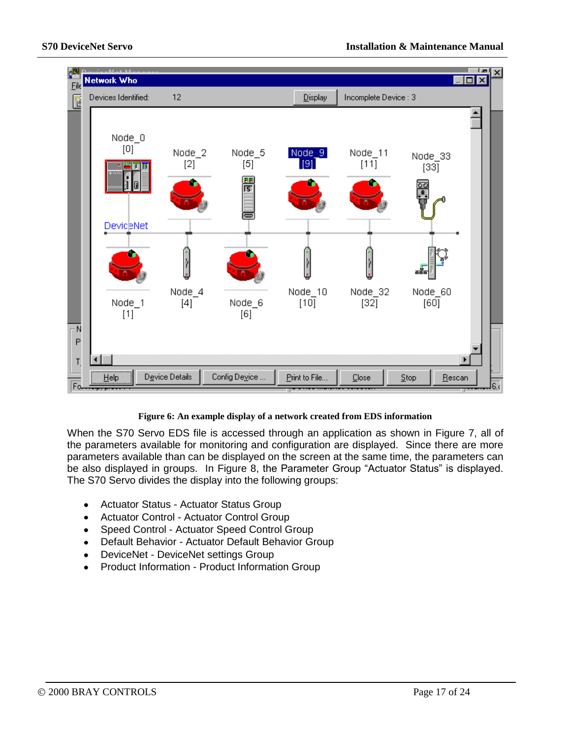

#### **Figure 6: An example display of a network created from EDS information**

<span id="page-17-0"></span>When the S70 Servo EDS file is accessed through an application as shown in [Figure 7,](#page-18-0) all of the parameters available for monitoring and configuration are displayed. Since there are more parameters available than can be displayed on the screen at the same time, the parameters can be also displayed in groups. In [Figure 8,](#page-20-0) the Parameter Group "Actuator Status" is displayed. The S70 Servo divides the display into the following groups:

- Actuator Status Actuator Status Group  $\bullet$
- Actuator Control Actuator Control Group
- Speed Control Actuator Speed Control Group  $\bullet$
- Default Behavior Actuator Default Behavior Group  $\bullet$
- DeviceNet DeviceNet settings Group
- Product Information Product Information Group  $\bullet$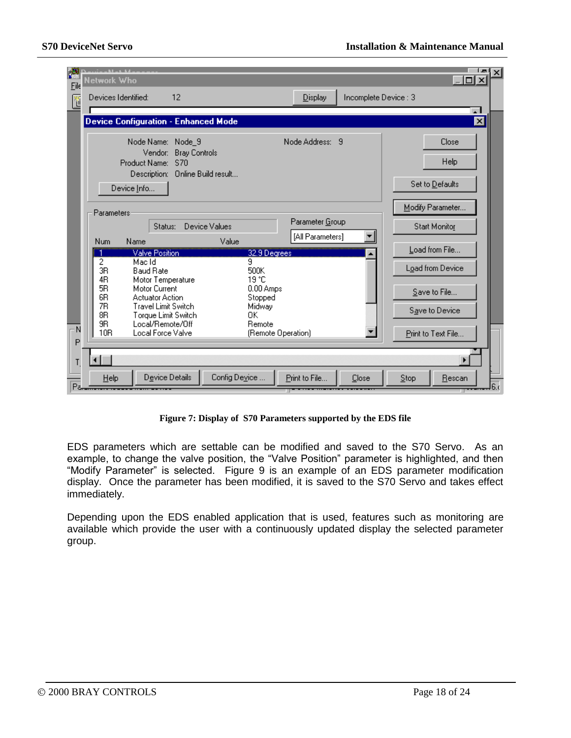| 圖<br>Eile | $-11 - 11$<br>Network Who                                                                                                                                   |                                                                        |                                                |                       | - 미 >                                   |  |
|-----------|-------------------------------------------------------------------------------------------------------------------------------------------------------------|------------------------------------------------------------------------|------------------------------------------------|-----------------------|-----------------------------------------|--|
| ľ         | Devices Identified:                                                                                                                                         | 12                                                                     | Display                                        | Incomplete Device : 3 |                                         |  |
|           | Device Configuration - Enhanced Mode                                                                                                                        |                                                                        |                                                |                       | $\overline{\mathbf{x}}$                 |  |
|           | Node Name: Node_9<br>Vendor:<br>Product Name:                                                                                                               | <b>Bray Controls</b><br><b>S70</b><br>Description: Online Build result | Node Address: 9                                |                       | Close<br><b>Help</b><br>Set to Defaults |  |
|           | Device Info<br><b>Parameters</b><br>Status:                                                                                                                 | Device Values                                                          | Parameter Group<br>[All Parameters]            |                       | Modify Parameter<br>Start Monitor       |  |
|           | Name<br><b>Num</b><br>Valve Position<br>$\overline{2}$<br>Mac Id<br>3R<br><b>Baud Rate</b>                                                                  | Value                                                                  | 32.9 Degrees<br>9<br>500K                      |                       | Load from File<br>Load from Device      |  |
|           | 4R<br>Motor Temperature<br>5R<br>Motor Current<br>6 <sub>R</sub><br><b>Actuator Action</b><br>7R<br><b>Travel Limit Switch</b><br>8R<br>Torque Limit Switch |                                                                        | 19 °C<br>0.00 Amps<br>Stopped<br>Midway<br>0K. |                       | Save to File<br>Save to Device          |  |
| N<br>P    | 9R<br>Local/Remote/Off<br>10 <sub>R</sub><br>Local Force Valve                                                                                              |                                                                        | Remote<br>(Remote Operation)                   |                       | Print to Text File                      |  |
|           |                                                                                                                                                             |                                                                        |                                                |                       |                                         |  |
| Pa.       | Help                                                                                                                                                        | Device Details<br>Config Device                                        | Print to File                                  | Close                 | Stop<br>Rescan                          |  |

**Figure 7: Display of S70 Parameters supported by the EDS file**

<span id="page-18-0"></span>EDS parameters which are settable can be modified and saved to the S70 Servo. As an example, to change the valve position, the "Valve Position" parameter is highlighted, and then "Modify Parameter" is selected. [Figure 9](#page-21-2) is an example of an EDS parameter modification display. Once the parameter has been modified, it is saved to the S70 Servo and takes effect immediately.

Depending upon the EDS enabled application that is used, features such as monitoring are available which provide the user with a continuously updated display the selected parameter group.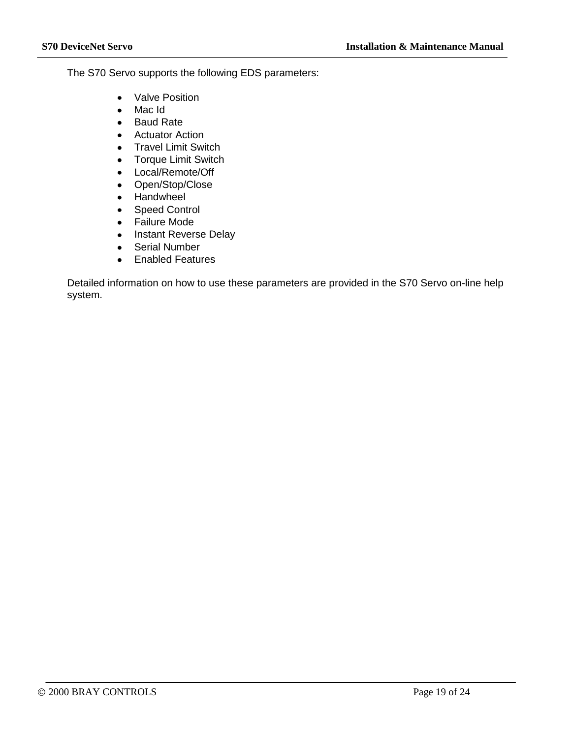The S70 Servo supports the following EDS parameters:

- $\bullet$ Valve Position
- Mac Id  $\bullet$
- $\bullet$ Baud Rate
- Actuator Action
- Travel Limit Switch  $\bullet$
- Torque Limit Switch  $\bullet$
- Local/Remote/Off  $\bullet$
- Open/Stop/Close  $\bullet$
- Handwheel  $\bullet$
- Speed Control  $\bullet$
- Failure Mode
- Instant Reverse Delay
- Serial Number  $\bullet$
- Enabled Features

Detailed information on how to use these parameters are provided in the S70 Servo on-line help system.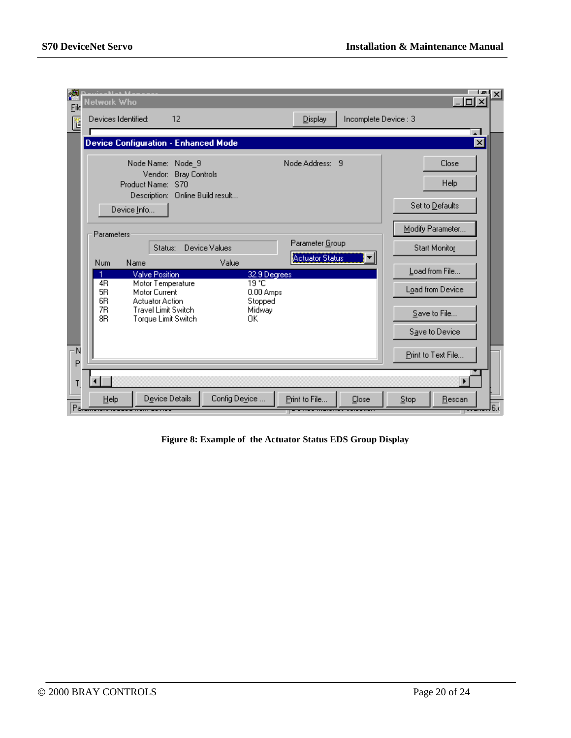| И<br>Eile | والمقارب والقادماني<br>Network Who                                                            |                                                                               |               |                      |                                           |                       |                                | $ \Box$ $\times$                  |
|-----------|-----------------------------------------------------------------------------------------------|-------------------------------------------------------------------------------|---------------|----------------------|-------------------------------------------|-----------------------|--------------------------------|-----------------------------------|
| ľ         | Devices Identified:                                                                           | 12                                                                            |               |                      | $D$ isplay                                | Incomplete Device : 3 |                                |                                   |
|           | Device Configuration - Enhanced Mode                                                          |                                                                               |               |                      |                                           |                       |                                | $\mathbf{A}$<br>$\vert x \vert$   |
|           | Vendor:<br>Product Name: S70<br>Device Info                                                   | Node Name: Node_9<br><b>Bray Controls</b><br>Description: Online Build result |               |                      | Node Address: 9                           |                       |                                | Close<br>Help<br>Set to Defaults  |
|           | Parameters                                                                                    | Status:                                                                       | Device Values |                      | Parameter Group<br><b>Actuator Status</b> |                       |                                | Modify Parameter<br>Start Monitor |
|           | <b>Num</b><br>Name<br><b>Valve Position</b>                                                   |                                                                               | Value         | 32.9 Degrees         |                                           |                       |                                | Load from File                    |
|           | 4R<br>5R<br>Motor Current                                                                     | Motor Temperature                                                             |               | 19 °C<br>$0.00$ Amps |                                           |                       |                                | Load from Device                  |
|           | 6R<br><b>Actuator Action</b><br>7R<br><b>Travel Limit Switch</b><br>8R<br>Torque Limit Switch |                                                                               |               | Midway<br>OΚ         | Stopped                                   |                       | Save to File<br>Save to Device |                                   |
| N<br>P    |                                                                                               |                                                                               |               |                      |                                           |                       |                                | Print to Text File                |
| Т         |                                                                                               |                                                                               |               |                      |                                           |                       |                                |                                   |
| Pε.       | Help                                                                                          | Device Details                                                                | Config Device |                      | Print to File                             | Close                 | Stop                           | Rescan                            |

<span id="page-20-0"></span>**Figure 8: Example of the Actuator Status EDS Group Display**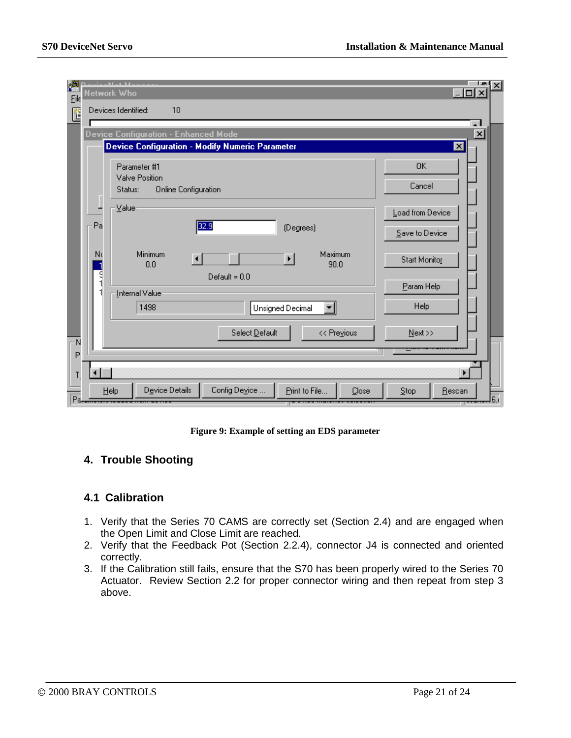| 圖<br>Eile |        | سافق فسألق ستب<br>Network Who             |                                                 |                       |                 |                     | i au<br>$\vert x \vert$<br>$ \Box$ $\times$ |
|-----------|--------|-------------------------------------------|-------------------------------------------------|-----------------------|-----------------|---------------------|---------------------------------------------|
| Ľ         |        | Devices Identified:                       | 10                                              |                       |                 |                     |                                             |
|           |        | Device Configuration - Enhanced Mode      | Device Configuration - Modify Numeric Parameter |                       |                 |                     | $\vert x \vert$<br>$\mathbf{x}$             |
|           |        | Parameter #1<br>Valve Position<br>Status: | <b>Online Configuration</b>                     |                       |                 | <b>OK</b><br>Cancel |                                             |
|           |        | Value                                     |                                                 |                       |                 | Load from Device    |                                             |
|           | Pa     |                                           | 32.9                                            | (Degrees)             | Save to Device  |                     |                                             |
|           | Nι     | Minimum<br>0.0                            | $\blacktriangleleft$                            | $\blacktriangleright$ | Maximum<br>90.0 | Start Monitor       |                                             |
|           | ۹<br>۱ | Internal Value                            | $Default = 0.0$                                 |                       |                 | Param Help          |                                             |
|           |        | 1498                                      | Unsigned Decimal                                |                       | Help            |                     |                                             |
| N         |        |                                           | Select Default                                  |                       | << Previous     | Next                |                                             |
| P         |        |                                           |                                                 |                       |                 |                     |                                             |
| Pa.       |        | Device Details<br>Help                    | Config Device                                   | Print to File         | Close           | Step<br>Rescan      | 6.0                                         |

**Figure 9: Example of setting an EDS parameter**

# <span id="page-21-2"></span><span id="page-21-0"></span>**4. Trouble Shooting**

### <span id="page-21-1"></span>**4.1 Calibration**

- 1. Verify that the Series 70 CAMS are correctly set (Section 2.4) and are engaged when the Open Limit and Close Limit are reached.
- 2. Verify that the Feedback Pot (Section 2.2.4), connector J4 is connected and oriented correctly.
- 3. If the Calibration still fails, ensure that the S70 has been properly wired to the Series 70 Actuator. Review Section 2.2 for proper connector wiring and then repeat from step 3 above.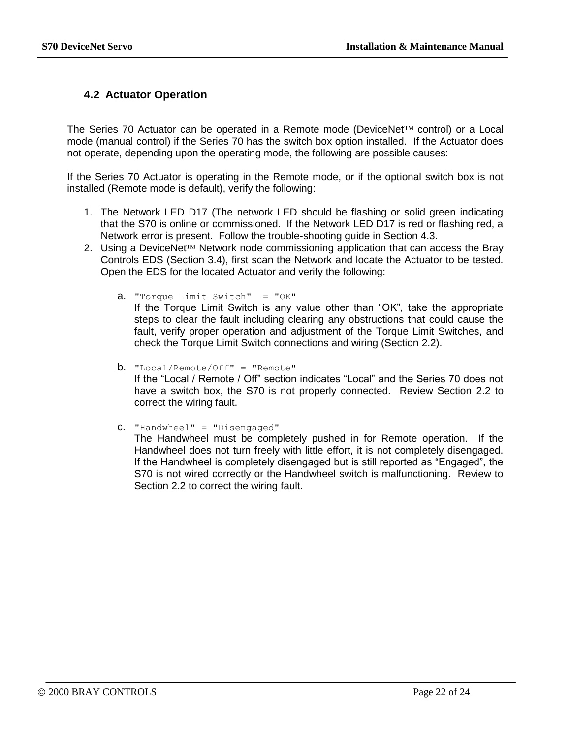# <span id="page-22-0"></span>**4.2 Actuator Operation**

The Series 70 Actuator can be operated in a Remote mode (DeviceNet<sup>TM</sup> control) or a Local mode (manual control) if the Series 70 has the switch box option installed. If the Actuator does not operate, depending upon the operating mode, the following are possible causes:

If the Series 70 Actuator is operating in the Remote mode, or if the optional switch box is not installed (Remote mode is default), verify the following:

- 1. The Network LED D17 (The network LED should be flashing or solid green indicating that the S70 is online or commissioned. If the Network LED D17 is red or flashing red, a Network error is present. Follow the trouble-shooting guide in Section [4.3.](#page-23-0)
- 2. Using a DeviceNet<sup> $TM$ </sup> Network node commissioning application that can access the Bray Controls EDS (Section [3.4\)](#page-16-3), first scan the Network and locate the Actuator to be tested. Open the EDS for the located Actuator and verify the following:
	- a. "Torque Limit Switch" = "OK"

If the Torque Limit Switch is any value other than "OK", take the appropriate steps to clear the fault including clearing any obstructions that could cause the fault, verify proper operation and adjustment of the Torque Limit Switches, and check the Torque Limit Switch connections and wiring (Section [2.2\)](#page-4-1).

- b. "Local/Remote/Off" = "Remote" If the "Local / Remote / Off" section indicates "Local" and the Series 70 does not have a switch box, the S70 is not properly connected. Review Section [2.2](#page-4-1) to correct the wiring fault.
- c. "Handwheel" = "Disengaged" The Handwheel must be completely pushed in for Remote operation. If the Handwheel does not turn freely with little effort, it is not completely disengaged. If the Handwheel is completely disengaged but is still reported as "Engaged", the S70 is not wired correctly or the Handwheel switch is malfunctioning. Review to Section [2.2](#page-4-1) to correct the wiring fault.